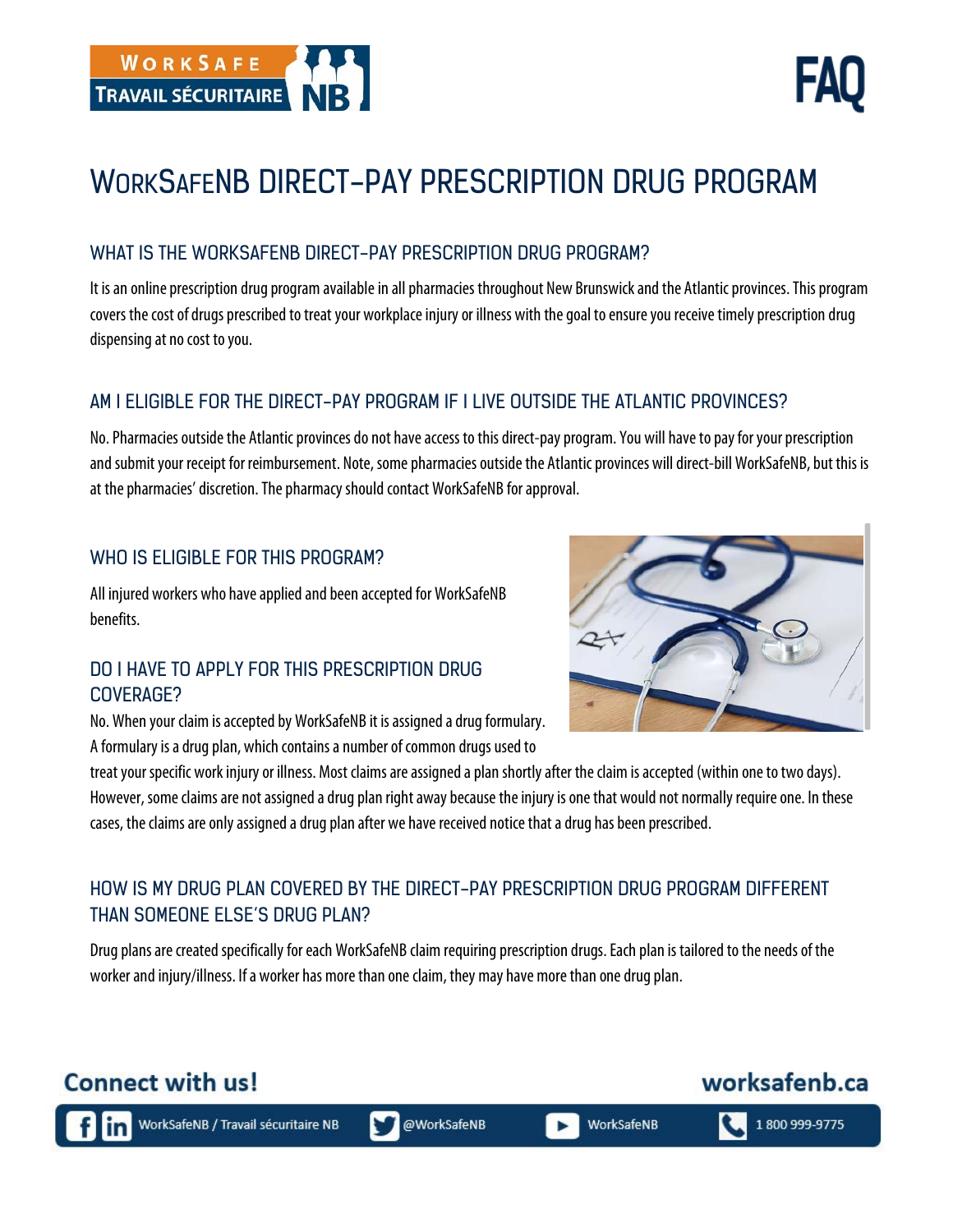

# WORKSAFENB DIRECT-PAY PRESCRIPTION DRUG PROGRAM

#### WHAT IS THE WORKSAFENB DIRECT-PAY PRESCRIPTION DRUG PROGRAM?

It is an online prescription drug program available in all pharmacies throughout New Brunswick and the Atlantic provinces. This program covers the cost of drugs prescribed to treat your workplace injury or illness with the goal to ensure you receive timely prescription drug dispensing at no cost to you.

#### AM I ELIGIBLE FOR THE DIRECT-PAY PROGRAM IF I LIVE OUTSIDE THE ATLANTIC PROVINCES?

No. Pharmacies outside the Atlantic provinces do not have access to this direct-pay program. You will have to pay for your prescription and submit your receipt for reimbursement. Note, some pharmacies outside the Atlantic provinces will direct-bill WorkSafeNB, but this is at the pharmacies' discretion. The pharmacy should contact WorkSafeNB for approval.

#### WHO IS ELIGIBLE FOR THIS PROGRAM?

All injured workers who have applied and been accepted for WorkSafeNB benefits.

#### DO I HAVE TO APPLY FOR THIS PRESCRIPTION DRUG COVERAGE?

No. When your claim is accepted by WorkSafeNB it is assigned a drug formulary. A formulary is a drug plan, which contains a number of common drugs used to

treat your specific work injury or illness. Most claims are assigned a plan shortly after theclaim is accepted (within one to two days). However, some claims are not assigned a drug plan right away because the injury is one that would not normally require one. In these cases, the claims are only assigned a drug plan after we have received notice that a drug has been prescribed.

## HOW IS MY DRUG PLAN COVERED BY THE DIRECT-PAY PRESCRIPTION DRUG PROGRAM DIFFERENT THAN SOMEONE ELSE'S DRUG PLAN?

Drug plans are created specifically for each WorkSafeNB claim requiring prescription drugs. Each plan is tailored to the needs of the worker and injury/illness. If a worker has more than one claim, they may have more than one drug plan.



worksafenb.ca

WorkSafeNB / Travail sécuritaire NB

**Connect with us!** 

ь

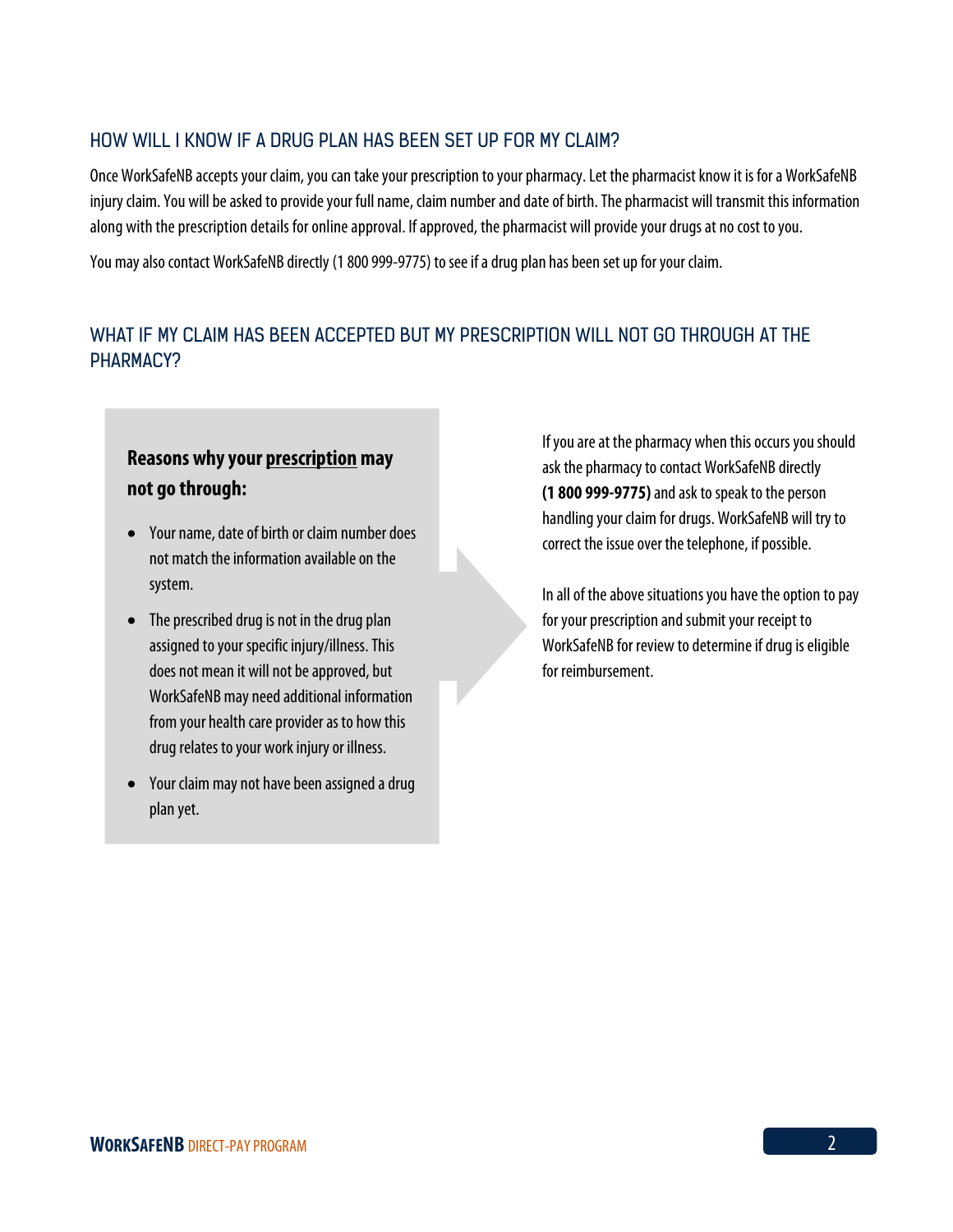#### HOW WILL I KNOW IF A DRUG PLAN HAS BEEN SET UP FOR MY CLAIM?

Once WorkSafeNB accepts your claim, you can take your prescription to your pharmacy. Let the pharmacist know it is for a WorkSafeNB injury claim. You will be asked to provide your full name, claim number and date of birth. The pharmacist will transmit this information along with the prescription details for online approval. If approved, the pharmacist will provide your drugs at no cost to you.

You may also contact WorkSafeNB directly (1 800 999-9775) to see if a drug plan has been set up for your claim.

### WHAT IF MY CLAIM HAS BEEN ACCEPTED BUT MY PRESCRIPTION WILL NOT GO THROUGH AT THE PHARMACY?

## **Reasons why your prescription may not go through:**

- Your name, date of birth or claim number does not match the information available on the system.
- The prescribed drug is not in the drug plan assigned to your specific injury/illness. This does not mean it will not be approved, but WorkSafeNB may need additional information from your health care provider as to how this drug relates to your work injury or illness.
- Your claim may not have been assigned a drug plan yet.

If you are at the pharmacy when this occurs you should ask the pharmacy to contact WorkSafeNB directly **(1 800 999-9775)** and ask to speak to the person handling your claim for drugs.WorkSafeNB will try to correct the issue over the telephone, if possible.

In all of the above situations you have the option to pay for your prescription and submit your receipt to WorkSafeNB for review to determine if drug is eligible for reimbursement.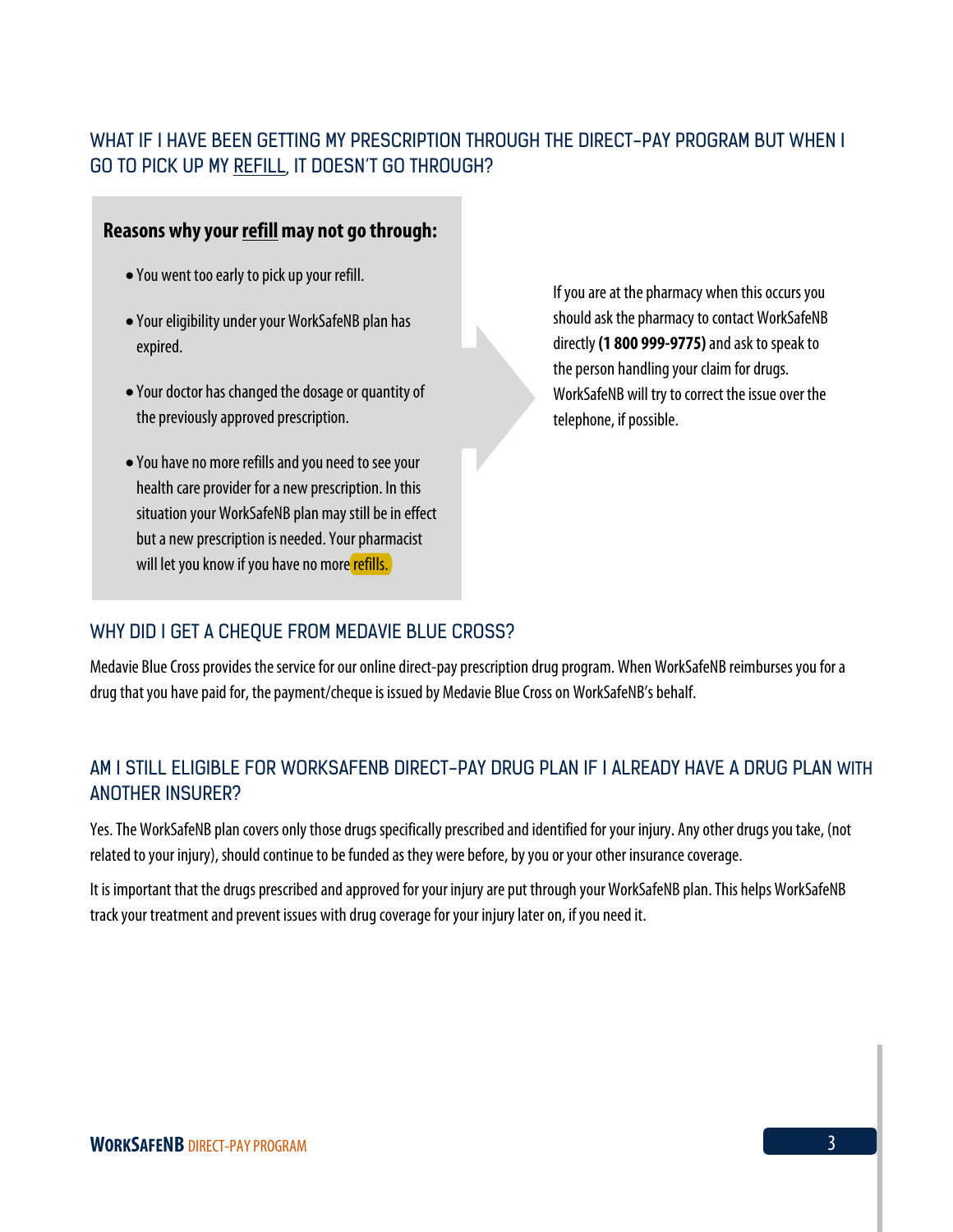## WHAT IF I HAVE BEEN GETTING MY PRESCRIPTION THROUGH THE DIRECT-PAY PROGRAM BUT WHEN I GO TO PICK UP MY REFILL, IT DOESN'T GO THROUGH?

#### **Reasons why your refillmay not go through:**

- You went too early to pick up your refill.
- Your eligibility under your WorkSafeNB plan has expired.
- Your doctor has changed the dosage or quantity of the previously approved prescription.
- l • You have no more refills and you need to see your health care provider for a new prescription. In this situation your WorkSafeNB plan may still be in effect but a new prescription is needed. Your pharmacist will let you know if you have no more refills.

If you are at the pharmacy when this occurs you should ask the pharmacy to contact WorkSafeNB directly**(1 800 999-9775)**and ask to speak to the person handling your claim for drugs. WorkSafeNB will try to correct the issue over the telephone, if possible.

### WHY DID I GET A CHEQUE FROM MEDAVIE BLUE CROSS?

Medavie Blue Cross provides the service for our online direct-pay prescription drug program. When WorkSafeNB reimburses you for a drug that you have paid for, the payment/cheque is issued by Medavie Blue Cross on WorkSafeNB's behalf.

## AM I STILL ELIGIBLE FOR WORKSAFENB DIRECT-PAY DRUG PLAN IF I ALREADY HAVE A DRUG PLAN WITH ANOTHER INSURER?

Yes. The WorkSafeNB plan covers only those drugs specifically prescribed and identified for your injury. Any other drugs you take, (not related to your injury), should continue to be funded as they were before, by you or your other insurance coverage.

It is important that the drugs prescribed and approved for your injury are put through your WorkSafeNB plan. This helps WorkSafeNB track your treatment and prevent issues with drug coverage for your injury later on, if you need it.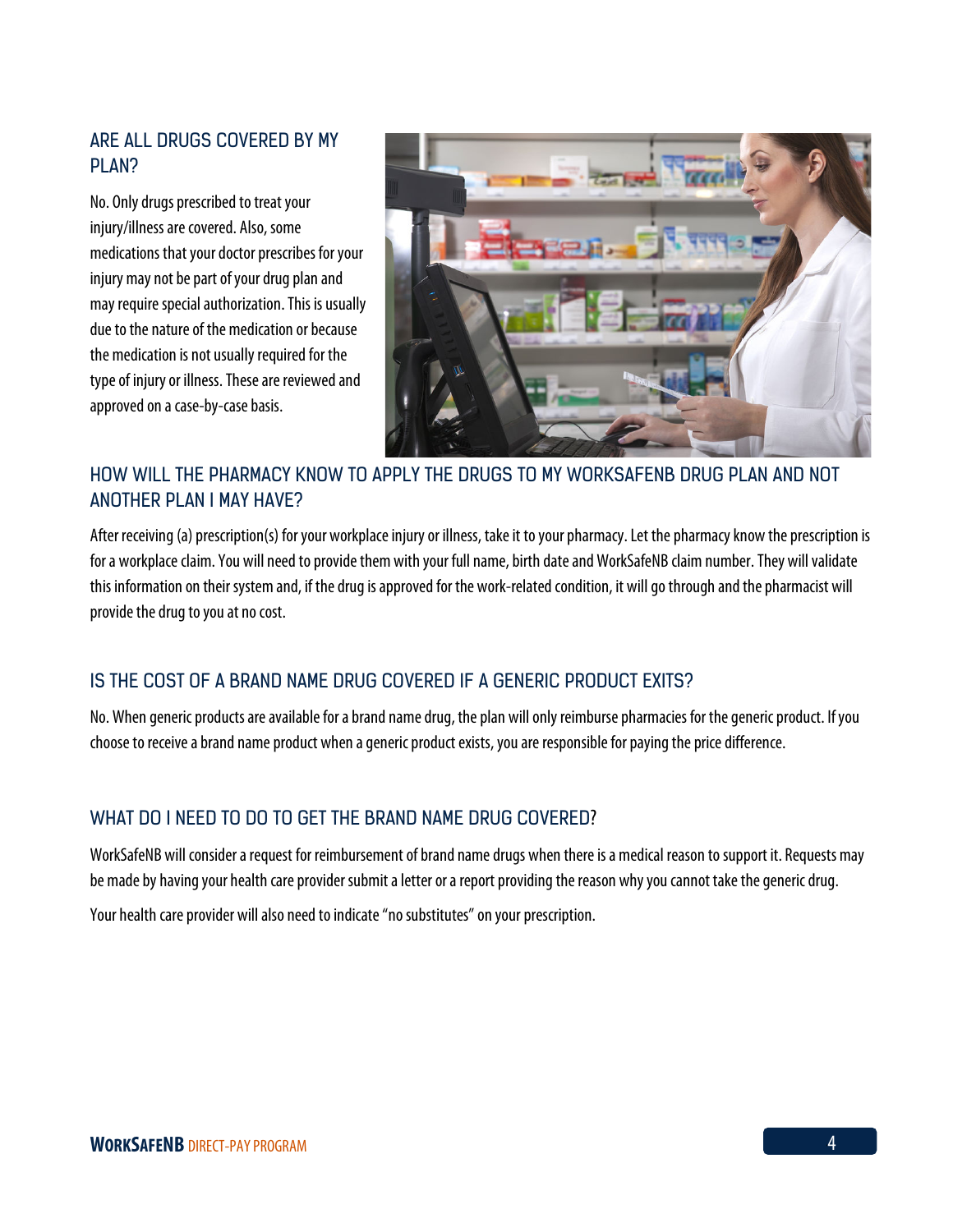#### ARE ALL DRUGS COVERED BY MY PI AN?

No. Only drugs prescribed to treat your injury/illness are covered. Also, some medications that your doctor prescribes for your injury may not be part of your drug plan and may require special authorization. This is usually due to the nature of the medication or because the medication is not usually required for the type of injury or illness. These are reviewed and approved on a case-by-case basis.



## HOW WILL THE PHARMACY KNOW TO APPLY THE DRUGS TO MY WORKSAFENB DRUG PLAN AND NOT ANOTHER PLAN I MAY HAVE?

After receiving (a) prescription(s) for your workplace injury or illness, take it to your pharmacy.Let the pharmacy know the prescription is for a workplace claim. You will need to provide them with your full name, birth date and WorkSafeNB claim number. They will validate this information on their system and, if the drug is approved for the work-related condition, it will go through and the pharmacist will provide the drug to you at no cost.

### IS THE COST OF A BRAND NAME DRUG COVERED IF A GENERIC PRODUCT EXITS?

No. When generic products are available for a brand name drug, the plan will only reimburse pharmacies for the generic product. If you choose to receive a brand name product when a generic product exists, you are responsible for paying the price difference.

### WHAT DO I NEED TO DO TO GET THE BRAND NAME DRUG COVERED?

WorkSafeNB will consider a request for reimbursement of brand name drugs when there is a medical reason to support it. Requests may be made by having your health care provider submit a letter or a report providing the reason why you cannot take the generic drug.

Your health care provider will also need to indicate "no substitutes" on your prescription.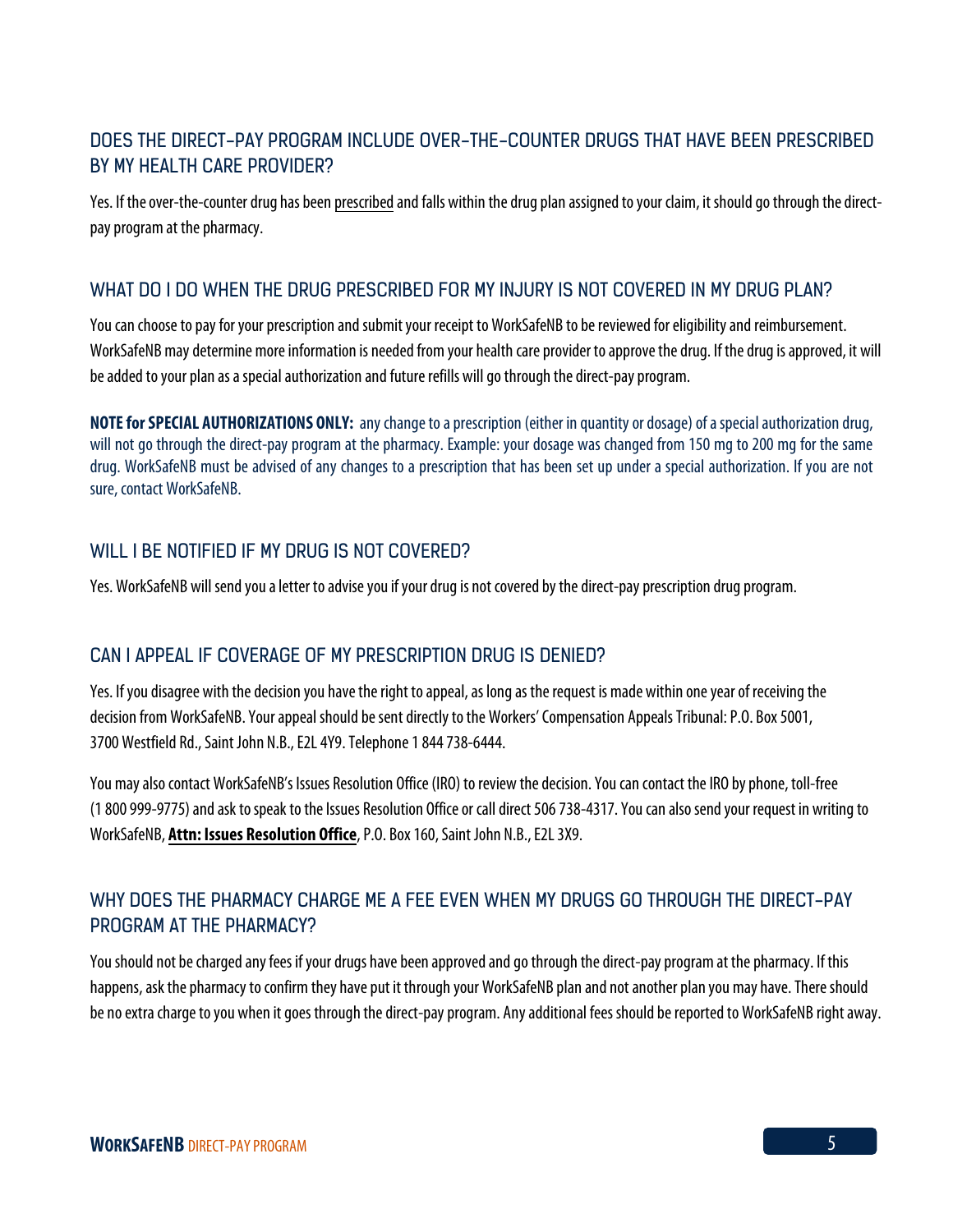## DOES THE DIRECT-PAY PROGRAM INCLUDE OVER-THE-COUNTER DRUGS THAT HAVE BEEN PRESCRIBED BY MY HEAI TH CARE PROVIDER?

Yes. If the over-the-counter drug has been prescribed and falls within the drug plan assigned to your claim, it should go through the directpay program at the pharmacy.

#### WHAT DO I DO WHEN THE DRUG PRESCRIBED FOR MY INJURY IS NOT COVERED IN MY DRUG PLAN?

You can choose to pay for your prescription and submit your receipt to WorkSafeNB to be reviewed for eligibility and reimbursement. WorkSafeNB may determine more information is needed from your health care provider to approvethe drug. If the drug is approved, it will be added to your plan as a special authorization and future refills will go through the direct-pay program.

**NOTE for SPECIAL AUTHORIZATIONS ONLY:** any change toa prescription (either in quantity or dosage) of a special authorization drug, will not go through the direct-pay program at the pharmacy. Example: your dosage was changed from 150 mg to 200 mg for the same drug. WorkSafeNB must be advised of any changes to a prescription that has been set up under a special authorization. If you are not sure, contact WorkSafeNB.

#### WILL LBE NOTIFIED IF MY DRUG IS NOT COVERED?

Yes. WorkSafeNB will send you aletter to advise you if yourdrug is not covered by the direct-pay prescription drug program.

### CAN I APPEAL IF COVERAGE OF MY PRESCRIPTION DRUG IS DENIED?

Yes. If you disagree with the decision you have the right to appeal, as long as the request is made within one year of receiving the decision from WorkSafeNB. Your appeal should be sent directly to the Workers' Compensation Appeals Tribunal: P.O. Box 5001, 3700 Westfield Rd., Saint John N.B., E2L 4Y9. Telephone 1 844 738-6444.

You may also contact WorkSafeNB's Issues Resolution Office (IRO) to review the decision. You can contact the IRO by phone, toll-free (1 800 999-9775) and ask to speak to the Issues Resolution Office or call direct 506 738-4317. You can also send your request in writing to WorkSafeNB, **Attn: Issues Resolution Office**, P.O. Box 160, Saint John N.B., E2L 3X9.

## WHY DOES THE PHARMACY CHARGE ME A FEE EVEN WHEN MY DRUGS GO THROUGH THE DIRECT-PAY PROGRAM AT THE PHARMACY?

You should not be charged any fees if your drugs have been approved and go through the direct-pay program at the pharmacy. If this happens, ask the pharmacy to confirm they have put it through your WorkSafeNB plan and not another plan you may have. There should be no extra charge to you when it goes through the direct-pay program. Any additional fees should be reported to WorkSafeNB right away.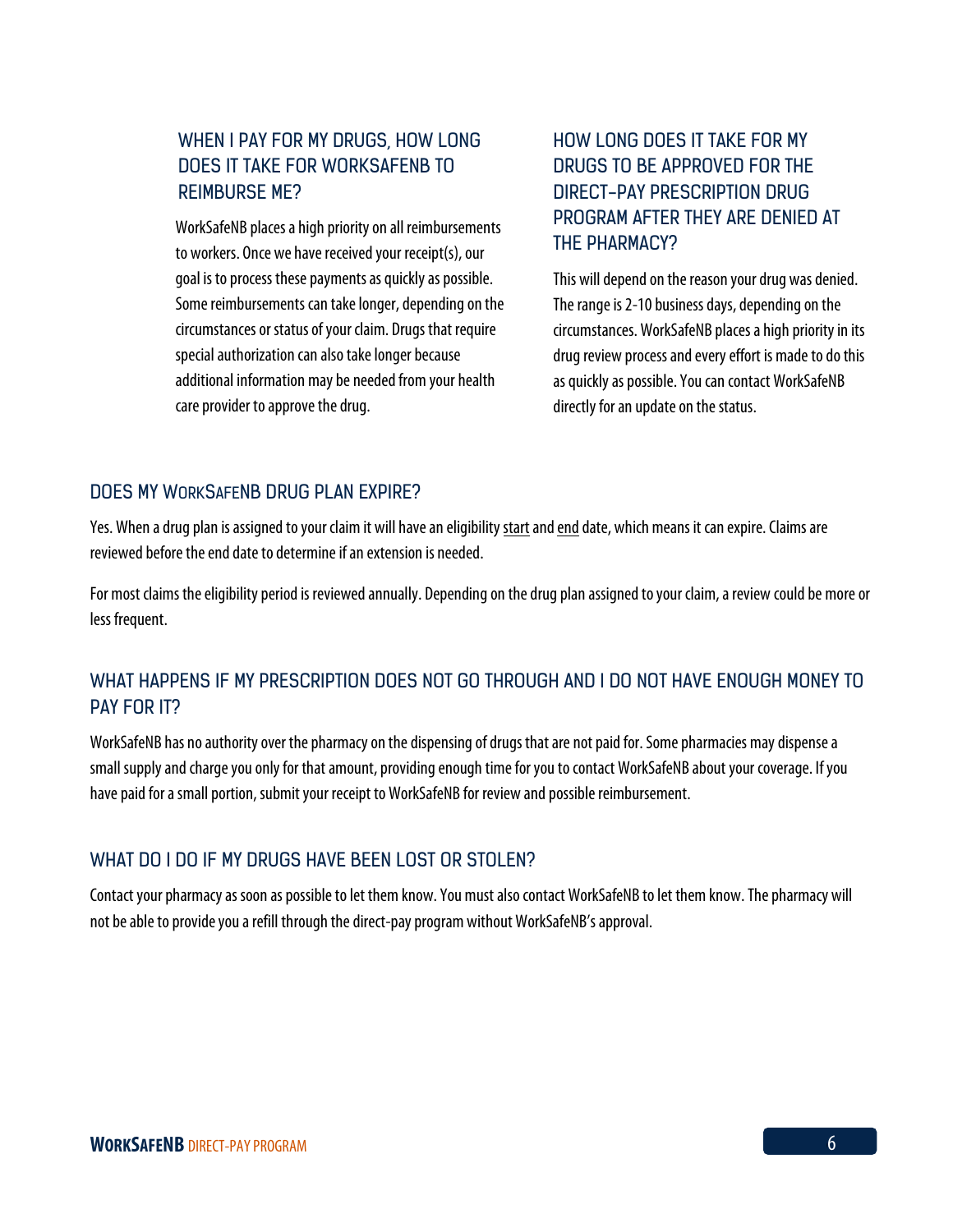## WHEN I PAY FOR MY DRUGS, HOW LONG DOES IT TAKE FOR WORKSAFENB TO REIMBURSE ME?

WorkSafeNB places a high priority on all reimbursements to workers. Once we have received your receipt(s), our goal is to process these payments as quickly as possible. Some reimbursements can take longer, depending on the circumstances or status of your claim. Drugs that require special authorization can also take longer because additional information may be needed from your health care provider to approve the drug.

## HOW LONG DOES IT TAKE FOR MY DRUGS TO BE APPROVED FOR THE DIRECT-PAY PRESCRIPTION DRUG PROGRAM AFTER THEY ARE DENIED AT THE PHARMACY?

This will depend on the reason your drug was denied. The range is 2-10 business days, depending on the circumstances. WorkSafeNB places a high priority in its drug review processand every effort is made to do this as quickly as possible. You can contact WorkSafeNB directly for an update on the status.

#### DOES MY WORKSAFENB DRUG PLAN EXPIRE?

Yes. When a drug plan is assigned to your claim it will have an eligibility start and end date, which means it can expire. Claims are reviewed before the end date to determine if an extension is needed.

For most claims the eligibility period is reviewed annually. Depending on the drug plan assigned to your claim, a review could be more or less frequent.

### WHAT HAPPENS IF MY PRESCRIPTION DOES NOT GO THROUGH AND I DO NOT HAVE ENOUGH MONEY TO PAY FOR IT?

WorkSafeNB has no authority over the pharmacy on the dispensing of drugs that are not paid for. Some pharmacies may dispense a small supply and charge you only for that amount, providing enough time for you to contact WorkSafeNB about your coverage. If you have paid for a small portion, submit your receipt to WorkSafeNB for review and possible reimbursement.

### WHAT DO I DO IF MY DRUGS HAVE BEEN LOST OR STOLEN?

Contact your pharmacy as soon as possible to let them know. You must also contact WorkSafeNB to let them know. The pharmacy will not be able to provide you a refill through the direct-pay program without WorkSafeNB's approval.